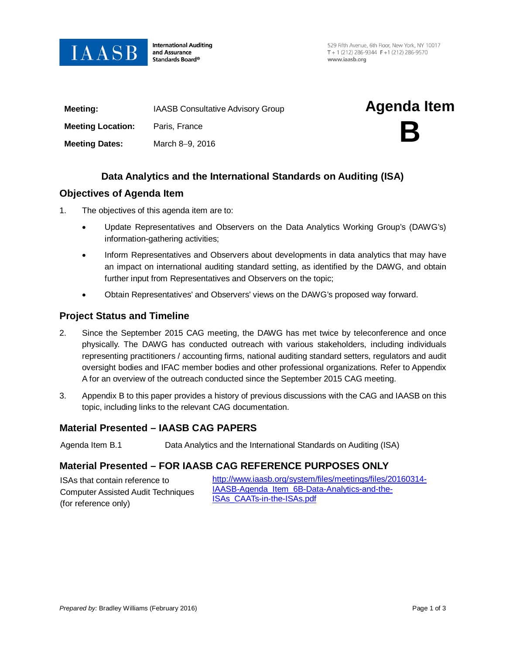

**International Auditing** and Assurance Standards Board®

529 Fifth Avenue, 6th Floor, New York, NY 10017 T + 1 (212) 286-9344  $F + 1$  (212) 286-9570 www.jaasb.org

| Meeting:                 | <b>IAASB Consultative Advisory Group</b> | <b>Agenda Item</b> |
|--------------------------|------------------------------------------|--------------------|
| <b>Meeting Location:</b> | Paris, France                            | B                  |
| <b>Meeting Dates:</b>    | March 8-9, 2016                          |                    |
|                          |                                          |                    |

# **Data Analytics and the International Standards on Auditing (ISA)**

## **Objectives of Agenda Item**

- 1. The objectives of this agenda item are to:
	- Update Representatives and Observers on the Data Analytics Working Group's (DAWG's) information-gathering activities;
	- Inform Representatives and Observers about developments in data analytics that may have an impact on international auditing standard setting, as identified by the DAWG, and obtain further input from Representatives and Observers on the topic;
	- Obtain Representatives' and Observers' views on the DAWG's proposed way forward.

## **Project Status and Timeline**

- 2. Since the September 2015 CAG meeting, the DAWG has met twice by teleconference and once physically. The DAWG has conducted outreach with various stakeholders, including individuals representing practitioners / accounting firms, national auditing standard setters, regulators and audit oversight bodies and IFAC member bodies and other professional organizations. Refer to Appendix A for an overview of the outreach conducted since the September 2015 CAG meeting.
- 3. Appendix B to this paper provides a history of previous discussions with the CAG and IAASB on this topic, including links to the relevant CAG documentation.

## **Material Presented – IAASB CAG PAPERS**

Agenda Item B.1 Data Analytics and the International Standards on Auditing (ISA)

# **Material Presented – FOR IAASB CAG REFERENCE PURPOSES ONLY**

| ISAs that contain reference to            | http://www.iaasb.org/system/files/meetings/files/20160314- |  |
|-------------------------------------------|------------------------------------------------------------|--|
| <b>Computer Assisted Audit Techniques</b> | IAASB-Agenda Item 6B-Data-Analytics-and-the-               |  |
| (for reference only)                      | <b>ISAs CAATs-in-the-ISAs.pdf</b>                          |  |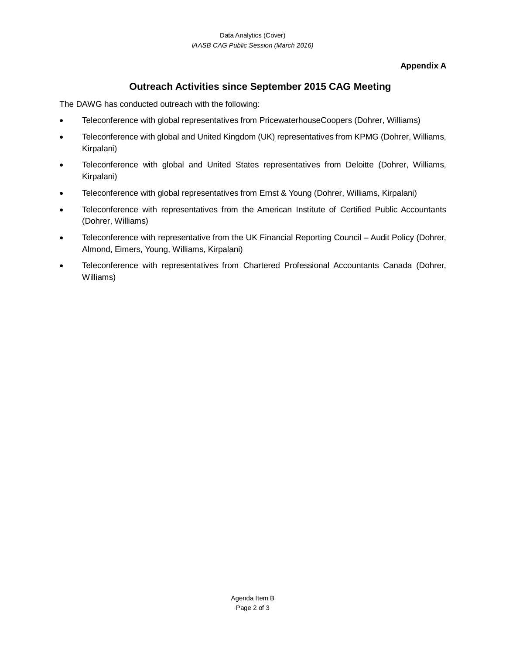## **Appendix A**

# **Outreach Activities since September 2015 CAG Meeting**

The DAWG has conducted outreach with the following:

- Teleconference with global representatives from PricewaterhouseCoopers (Dohrer, Williams)
- Teleconference with global and United Kingdom (UK) representatives from KPMG (Dohrer, Williams, Kirpalani)
- Teleconference with global and United States representatives from Deloitte (Dohrer, Williams, Kirpalani)
- Teleconference with global representatives from Ernst & Young (Dohrer, Williams, Kirpalani)
- Teleconference with representatives from the American Institute of Certified Public Accountants (Dohrer, Williams)
- Teleconference with representative from the UK Financial Reporting Council Audit Policy (Dohrer, Almond, Eimers, Young, Williams, Kirpalani)
- Teleconference with representatives from Chartered Professional Accountants Canada (Dohrer, Williams)